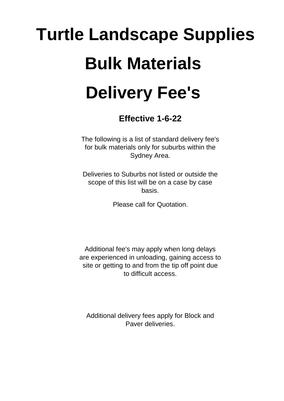## **Turtle Landscape Supplies Bulk Materials Delivery Fee's**

**Effective 1-6-22**

The following is a list of standard delivery fee's for bulk materials only for suburbs within the Sydney Area.

Deliveries to Suburbs not listed or outside the scope of this list will be on a case by case basis.

Please call for Quotation.

Additional fee's may apply when long delays are experienced in unloading, gaining access to site or getting to and from the tip off point due to difficult access.

Additional delivery fees apply for Block and Paver deliveries.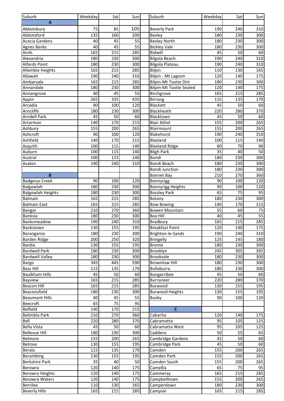| Suburb                              | Weekday | Sat             | Sun             | Suburb                         | Weekday         | Sat             | Sun             |
|-------------------------------------|---------|-----------------|-----------------|--------------------------------|-----------------|-----------------|-----------------|
| A                                   |         |                 |                 |                                |                 |                 |                 |
| Abbotsbury                          | 75      | 85              | 105             | <b>Beverly Park</b>            | 190             | 240             | 310             |
|                                     | 135     | 160             | 200             |                                | 180             | 230             | 300             |
| Abbotsford<br><b>Acacia Gardens</b> | 40      | 45              | 55              | Bexley                         | 180             | 230             |                 |
|                                     | 40      | 45              | $\overline{55}$ | <b>Bexley North</b>            | 180             |                 | 300<br>300      |
| <b>Agnes Banks</b>                  |         |                 |                 | <b>Bickley Vale</b>            |                 | 230             |                 |
| Airds                               | 165     | 215             | 285             | Bidwill                        | 45              | 50              | 60              |
| Alexandria                          | 180     | 230             | 300             | <b>Bilgola Beach</b>           | 190             | 240             | 310             |
| <b>Alfords Point</b>                | 180     | 230             | 300             | <b>Bilgola Plateau</b>         | 190             | 240             | 310             |
| Allambie Heights                    | 165     | 215             | 285             | Bilpin                         | 110             | 130             | 165             |
| Allawah                             | 190     | 240             | 310             | Bilpin - Mt Lagoon             | 120             | 140             | 175             |
| Ambarvale                           | 165     | 215             | 285             | <b>Bilpin-Mt Tootie Dirt</b>   | 180             | 230             | 300             |
| Annandale                           | 180     | 230             | 300             | <b>Bilpin-Mt Tootie Sealed</b> | 120             | 140             | 175             |
| Annangrove                          | 40      | 45              | 55              | Birchgrove                     | 165             | 215             | 285             |
| Appin                               | 265     | 335             | 435             | Birrong                        | 115             | 135             | 170             |
| Arcadia                             | 90      | 100             | 120             | Blackett                       | 45              | 50              | 60              |
| Arncliffe                           | 180     | 230             | 300             | Blackheath                     | 220             | 280             | 370             |
| <b>Arndell Park</b>                 | 45      | 50              | 60              | Blacktown                      | 45              | 50              | 60              |
| Artarmon                            | 140     | 170             | 215             | <b>Blair Athol</b>             | 155             | 200             | 265             |
| Ashbury                             | 155     | 200             | 265             | Blairmount                     | 155             | 200             | 265             |
| Ashcroft                            | 90      | 100             | 120             | Blakehurst                     | 190             | 240             | 310             |
| Ashfield                            | 140     | 170             | 215             | Blaxland                       | 100             | 115             | 140             |
| Asquith                             | 100     | 115             | 140             | <b>Blaxland Ridge</b>          | 60              | 70              | 90              |
| Auburn                              | 100     | 115             | 140             | <b>Bligh Park</b>              | 35              | 40              | 50              |
| Austral                             | 100     | 115             | 140             | Bondi                          | 180             | 230             | 300             |
| Avalon                              | 190     | 240             | 310             | Bondi Beach                    | 180             | 230             | 300             |
|                                     |         |                 |                 | <b>Bondi Junction</b>          | 180             | 230             | 300             |
| B                                   |         |                 |                 | <b>Bonnet Bay</b>              | 210             | 270             | 360             |
| <b>Badgerys Creek</b>               | 90      | 100             | 120             | Bonnyrigg                      | 90              | 100             | 120             |
| Balgowlah                           | 180     | 230             | 300             | <b>Bonnyrigg Heights</b>       | 90              | 100             | 120             |
| <b>Balgowlah Heights</b>            | 180     | 230             | 300             | <b>Bossley Park</b>            | 65              | $\overline{75}$ | $\overline{95}$ |
|                                     | 165     | 215             |                 |                                |                 | 230             |                 |
| <b>Balmain</b>                      |         |                 | 285             | Botany                         | 180             |                 | 300             |
| <b>Balmain East</b>                 | 165     | 215             | 285             | Bow Bowing                     | 140             | 170             | 215             |
| Bangor                              | 210     | 270             | 360             | <b>Bowen Mountain</b>          | 55              | 60              | $\overline{75}$ |
| <b>Banksia</b>                      | 180     | 230             | 300             | <b>Box Hill</b>                | 40              | 45              | 55              |
| Banksmeadow                         | 190     | 240             | 310             | <b>Bradbury</b>                | 165             | 215             | 285             |
| Bankstown                           | 1301    | 155             | 195             | Breakfast Point                | 120             | 140             | 175             |
| Barangaroo                          | 180     | 230             | 300             | Brighton-le-Sands              | 190             | 240             | 310             |
| Barden Ridge                        | 200     | 250             | 320             | <b>Bringelly</b>               | 125             | 145             | 180             |
| <b>Bardia</b>                       | 130     | 155             | 195             | <b>Bronte</b>                  | 180             | 230             | 300             |
| <b>Bardwell Park</b>                | 180     | 230             | 300             | Brooklyn                       | 245             | 305             | 395             |
| <b>Bardwell Valley</b>              | 180     | 230             | 300             | <b>Brookvale</b>               | 180             | 230             | 300             |
| Bargo                               | 345     | 445             | 590             | <b>Brownlow Hill</b>           | 180             | 230             | 300             |
| <b>Bass Hill</b>                    | 115     | 135             | 170             | <b>Bullaburra</b>              | 180             | 230             | 300             |
| <b>Baulkham Hills</b>               | 45      | 50              | 60              | Bungarribee                    | 45              | 50              | 60              |
| Bayview                             | 165     | 215             | 285             | Burraneer                      | 220             | 280             | 370             |
| <b>Beacon Hill</b>                  | 165     | 215             | 285             | Burwood                        | 130             | 155             | 195             |
| Beaconsfield                        | 180     | 230             | 300             | <b>Burwood Heights</b>         | 130             | 155             | 195             |
| <b>Beaumont Hills</b>               | 40      | 45              | $\overline{55}$ | Busby                          | 90              | 100             | 120             |
| Beecroft                            | 65      | $\overline{75}$ | 95              |                                |                 |                 |                 |
| Belfield                            | 140     | 170             | 215             | $\mathbf c$                    |                 |                 |                 |
| Belimbla Park                       | 210     | 270             | 360             | Cabarita                       | 120             | 140             | 175             |
| Bell                                | 220     | 280             | 370             | Cabramatta                     | 95              | 105             | 125             |
| <b>Bella Vista</b>                  | 45      | 50              | 60              | Cabramatta West                | 95              | 105             | 125             |
| <b>Bellevue Hill</b>                | 180     | 230             | 300             | Caddens                        | $\overline{50}$ | $\overline{55}$ | 65              |
| Belmore                             | 155     | 200             | 265             | Cambridge Gardens              | 45              | 50              | 60              |
|                                     |         |                 |                 |                                | 45              | 50              |                 |
| Belrose                             | 130     | 155             | 195             | Cambridge Park                 |                 |                 | 60              |
| Berala                              | 115     | 135             | 170             | Camden                         | 155             | 200             | 265             |
| Berambing                           | 130     | 155             | 195             | Camden Park                    | 155             | 200             | 265             |
| <b>Berkshire Park</b>               | 35      | 40              | 50              | Camden South                   | 155             | 200             | 265             |
| Berowra                             | 120     | 140             | 175             | Camellia                       | 65              | 75              | 95              |
| Berowra Heights                     | 120     | 140             | 175             | Cammeray                       | 165             | 215             | 285             |
| <b>Berowra Waters</b>               | 120     | 140             | 175             | Campbelltown                   | 155             | 200             | 265             |
| <b>Berrilee</b>                     | 110     | 130             | 165             | Camperdown                     | 180             | 230             | 300             |
| <b>Beverly Hills</b>                | 165     | 215             | 285             | Campsie                        | 165             | 215             | 285             |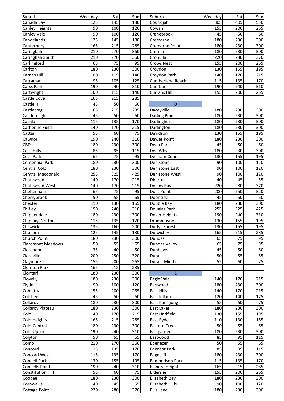| Suburb                         | Weekday    | Sat              | Sun        | Suburb                        | Weekday    | Sat             | Sun             |
|--------------------------------|------------|------------------|------------|-------------------------------|------------|-----------------|-----------------|
| Canada Bay                     | 125        | 145              | 180        | Couridjah                     | 305        | 405             | 550             |
| <b>Canley Heights</b>          | 90         | 100              | 120        | Cowan                         | 155        | 200             | 265             |
| Canley Vale                    | 90         | 100              | 120        | Cranebrook                    | 45         | 50              | 60              |
| Canoelands                     | 125        | 145              | 180        | Cremorne                      | 180        | 230             | 300             |
| Canterbury                     | 165        | 215              | 285        | Cremorne Point                | 180        | 230             | 300             |
| Caringbah                      | 210        | 270              | 360        | Cromer                        | 180        | 230             | 300             |
| Caringbah South                | 210        | 270              | 360        | Cronulla                      | 220        | 280             | 370             |
| Carlingford                    | 65         | 75               | 95         | <b>Crows Nest</b>             | 155        | 200             | 265             |
| Carlton                        | 180        | 230              | 300        | Croydon                       | 130        | 155             | 195             |
| <b>Carnes Hill</b>             | 100        | 115              | 140        | Croydon Park                  | 140        | 170             | 215             |
| Carramar                       | 95         | 105              | 125        | <b>Cumberland Reach</b>       | 115        | 135             | 170             |
| <b>Carss Park</b>              | 190        | 240              | 310        | Curl Curl                     | 190        | 240             | 310             |
| Cartwright                     | 100        | 115              | 140        | <b>Currans Hill</b>           | 155        | 200             | 265             |
| Castle Cove                    | 165        | 215              | 285        |                               |            |                 |                 |
| Castle Hill                    | 45         | 50               | 60         | D                             |            |                 |                 |
| Castlecrag                     | 165        | $\overline{215}$ | 285        | Daceyville                    | 180        | 230             | 300             |
| Castlereagh                    | 45         | 50               | 60         | <b>Darling Point</b>          | 180        | 230             | 300             |
| Casula                         | 115        | 135              | 170        | Darlinghurst                  | 180        | 230             | 300             |
| Catherine Field                | 140        | 170              | 215        | Darlington                    | 180        | 230             | 300             |
| Cattai                         | 55         | 60               | 75         | Davidson                      | 130        | 155             | 195             |
| Cawdor                         | 190        | 240              | 310        | Dawes Point                   | 180        | 230             | 300             |
| CBD                            | 180        | 230              | 300        | Dean Park                     | 45         | 50              | 60              |
| <b>Cecil Hills</b>             | 85         | 95               | 115        | Dee Why                       | 180        | 230             | 300             |
| Cecil Park                     | 65         | $\overline{75}$  | 95         | Denham Court                  | 130        | 155             | 195             |
| Centennial Park                | 180        | 230              | 300        | Denistone                     | 90         | 100             | 120             |
| <b>Central Colo</b>            | 180        | 230              | 300        | Denistone East                | 90         | 100             | 120             |
| <b>Central Macdonald</b>       | 255        | 325              | 425        | Denistone West                | 90         | 100             | 120             |
| Chatswood                      | 140        | 170              | 215        | <b>Dharruk</b>                | 40         | 45              | 55              |
| Chatswood West                 | 140        | 170              | 215        | Dolans Bay                    | 220        | 280             | 370             |
| Cheltenham                     | 65         | 75               | 95         | <b>Dolls Point</b>            | 200        | 250             | 320             |
| Cherrybrook                    | 50         | $\overline{55}$  | 65         | Doonside                      | 45         | 50              | 60              |
| <b>Chester Hill</b><br>Chifley | 110<br>190 | 130<br>240       | 165<br>310 | Double Bay                    | 180<br>255 | 230<br>325      | 300<br>425      |
| Chippendale                    | 180        | 230              | 300        | Douglas Park<br>Dover Heights | 190        | 240             | 310             |
| <b>Chipping Norton</b>         | 115        | 135              | 170        | Drummoyne                     | 130        | 155             | 195             |
| <b>Chiswick</b>                | 135        | 160              | 200        | <b>Duffys Forest</b>          | 130        | 155             | 195             |
| Chullora                       | 125        | 145              | 180        | Dulwich Hill                  | 165        | 215             | 285             |
| Church Point                   | 180        | 230              | 300        | Dundas                        | 65         | 75              | 95              |
| <b>Claremont Meadows</b>       | 50         | 55               | 65         | <b>Dundas Valley</b>          | 65         | $\overline{75}$ | 95              |
| Clarendon                      | 35         | 40               | 50         | Dunheved                      | 45         | 50              | 60              |
| Clareville                     | 200        | 250              | 320        | Dural                         | 50         | 55              | 65              |
| Claymore                       | 155        | 200              | 265        | Dural - Middle                | 55         | 60              | $\overline{75}$ |
| <b>Clemton Park</b>            | 165        | 215              | 285        |                               |            |                 |                 |
| Clontarf                       | 180        | 230              | 300        | E                             |            |                 |                 |
| Clovelly                       | 180        | 230              | 300        | Eagle Vale                    | 140        | 170             | 215             |
| Clyde                          | 90         | 100              | 120        | Earlwood                      | 180        | 230             | 300             |
| Cobbitty                       | 155        | 200              | 265        | East Hills                    | 140        | 170             | 215             |
| Colebee                        | 45         | 50               | 60         | East Killara                  | 120        | 140             | 175             |
| Collaroy                       | 180        | 230              | 300        | <b>East Kurrajong</b>         | 55         | 60              | 75              |
| <b>Collaroy Plateau</b>        | 180        | 230              | 300        | <b>East Lakes</b>             | 180        | 230             | 300             |
| Colo                           | 140        | 170              | 215        | East Lindfield                | 130        | 155             | 195             |
| Colo Heights                   | 165        | 215              | 285        | East Ryde                     | 110        | 130             | 165             |
| Colo-Central                   | 180        | 230              | 300        | Eastern Creek                 | 50         | 55              | 65              |
| Colo-Upper                     | 190        | 240              | 310        | Eastgardens                   | 180        | 230             | 300             |
| Colyton                        | 50         | 55               | 65         | Eastwood                      | 85         | 95              | 115             |
| Como                           | 210        | 270              | 360        | Ebenezer                      | 50         | $\overline{55}$ | 65              |
| Concord                        | 115        | 135              | 170        | <b>Edensor Park</b>           | 85         | 95              | 115             |
| <b>Concord West</b>            | 115        | 135              | 170        | Edgecliff                     | 180        | 230             | 300             |
| <b>Condell Park</b>            | 130        | 155              | 195        | Edmondson Park                | 115        | 135             | 170             |
| <b>Connells Point</b>          | 190        | 240              | 310        | Elanora Heights               | 165        | 215             | 285             |
| <b>Constitution Hill</b>       | 55         | 60               | 75         | Elderslie                     | 155        | 200             | 265             |
| Coogee                         | 180        | 230              | 300        | Elizabeth Bay                 | 180        | 230             | 300             |
| Cornwallis                     | 40         | 45               | 55         | <b>Elizabeth Hills</b>        | 90         | 100             | 120             |
| <b>Cottage Point</b>           | 220        | 280              | 370        | <b>Ellis Lane</b>             | 180        | 230             | 300             |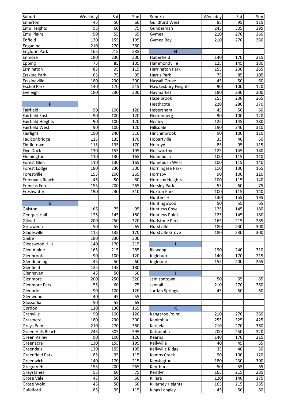| Suburb                   | Weekday         | Sat              | Sun             | Suburb                 | Weekday          | Sat | Sun |
|--------------------------|-----------------|------------------|-----------------|------------------------|------------------|-----|-----|
| Emerton                  | 45              | 50               | 60              | Guildford West         | 85               | 95  | 115 |
| Emu Heights              | $\overline{55}$ | 60               | $\overline{75}$ | Gunderman              | 245              | 305 | 395 |
| <b>Emu Plains</b>        | 50              | 55               | 65              | Gymea                  | 210              | 270 | 360 |
| Enfield                  | 130             | 155              | 195             | Gymea Bay              | 210              | 270 | 360 |
| Engadine                 | 210             | 270              | 360             |                        |                  |     |     |
| <b>Englorie Park</b>     | 165             | 215              | 285             | н                      |                  |     |     |
| Enmore                   | 180             | 230              | 300             | Haberfield             | 140              | 170 | 215 |
| Epping                   | $\overline{75}$ | 85               | 105             | Hammondville           | 125              | 145 | 180 |
| Ermington                | 85              | 95               | 115             | <b>Harrington Park</b> | 155              | 200 | 265 |
| <b>Erskine Park</b>      | 65              | 75               | 95              | Harris Park            | 75               | 85  | 105 |
| Erskineville             | 180             | 230              | 300             | <b>Hassall Grove</b>   | 45               | 50  | 60  |
| <b>Eschol Park</b>       | 140             | 170              | 215             | Hawkesbury Heights     | 90               | 100 | 120 |
| Eveleigh                 | 180             | 230              | 300             | Haymarket              | 180              | 230 | 300 |
|                          |                 |                  |                 | <b>Hazelbrook</b>      | 155              | 200 | 265 |
| F                        |                 |                  |                 | Heathcote              | 220              | 280 | 370 |
| Fairfield                | 90              | 100              | 120             | Hebersham              | 45               | 50  | 60  |
| <b>Fairfield East</b>    | 90              | 100              | 120             | Heckenberg             | 90               | 100 | 120 |
| <b>Fairfield Heights</b> | 90              | 100              | 120             | Henley                 | 125              | 145 | 180 |
| <b>Fairfield West</b>    | 90              | 100              | 120             | Hillsdale              | 190              | 240 | 310 |
| Fairlight                | 190             | 240              | 310             | Hinchinbrook           | 90               | 100 | 120 |
| Faulconbridge            | 115             | 135              | 170             | Hobartville            | 35               | 40  | 50  |
| Fiddletown               | 115             | 135              | 170             | Holroyd                | 85               | 95  | 115 |
| <b>Five Dock</b>         | 130             | 155              | 195             | Holsworthy             | 125              | 145 | 180 |
| Flemington               | 110             | 130              | 165             | Homebush               | 100              | 115 | 140 |
| Forest Glen              | 110             | 130              | 165             | Homebush West          | 100              | 115 | 140 |
| Forest Lodge             | 180             | 230              | 300             | Horningsea Park        | 110              | 130 | 165 |
| Forestville              | 155             | 200              | 265             | Hornsby                | 90               | 100 | 120 |
| <b>Freemans Reach</b>    | 45              | 50               | 60              | Hornsby Heights        | 100              | 115 | 140 |
| <b>Frenchs Forest</b>    | 155             | 200              | 265             | <b>Horsley Park</b>    | 55               | 60  | 75  |
| Freshwater               | 190             | 240              | 310             | <b>Hoxton Park</b>     | 100              | 115 | 140 |
|                          |                 |                  |                 | <b>Hunters Hill</b>    | 130              | 155 | 195 |
| G                        |                 |                  |                 | Huntingwood            | 50               | 55  | 65  |
| Galston                  | 65              | $\overline{75}$  | 95              | <b>Huntleys Cove</b>   | $\overline{125}$ | 145 | 180 |
| Georges Hall             | 125             | $\overline{145}$ | 180             | <b>Huntleys Point</b>  | 125              | 145 | 180 |
| Gilead                   | 200             | 250              | 320             | Hurlstone Park         | 165              | 215 | 285 |
| Girraween                | 50              | 55               | 65              | Hurstville             | 180              | 230 | 300 |
| Gladesville              | 115             | 135              | 170             | Hurstville Grove       | 180              | 230 | 300 |
| Glebe                    | 180             | 230              | 300             |                        |                  |     |     |
| Gledswood Hills          | 140             | 170              | 215             |                        |                  |     |     |
| Glen Alpine              | 165             | 215              | 285             | Illawong               | 190              | 240 | 310 |
| Glenbrook                | 90              | 100              | 120             | Ingleburn              | 140              | 170 | 215 |
| Glendenning              | 45              | 50               | 60              | Ingleside              | 155              | 200 | 265 |
| Glenfield                | 125             | 145              | 180             |                        |                  |     |     |
| Glenhaven                | 45              | 50               | 60              |                        |                  |     |     |
| Glenmore                 | 200             | 250              | 320             | Jamisontown            | 50               | 55  | 65  |
| Glenmore Park            | 55              | 60               | 75              | Jannali                | 210              | 270 | 360 |
| Glenorie                 | 90              | 100              | 120             | Jordan Springs         | 45               | 50  | 60  |
| Glenwood                 | 40              | 45               | 55              |                        |                  |     |     |
| Glossodia                | 50              | 55               | 65              |                        |                  |     |     |
| Gordon                   | 110             | 130              | 165             | $\mathbf K$            |                  |     |     |
| Granville                | 90              | 100              | 120             | Kangaroo Point         | 210              | 270 | 360 |
| Grasmere                 | 180             | 230              | 300             | Kanimbla               | 255              | 325 | 425 |
| <b>Grays Point</b>       | 210             | 270              | 360             | Kareela                | 210              | 270 | 360 |
| Green Hills Beach        | 245             | 305              | 395             | Katoomba               | 200              | 250 | 320 |
| <b>Green Valley</b>      | 90              | 100              | 120             | Kearns                 | 140              | 170 | 215 |
| Greenacre                | 130             | 155              | 195             | Kellyville             | 40               | 45  | 55  |
| Greendale                | 130             | 155              | 195             | Kellyville Ridge       | 35               | 40  | 50  |
| Greenfield Park          | 85              | 95               | 115             | <b>Kemps Creek</b>     | 90               | 100 | 120 |
| Greenwich                | 140             | 170              | 215             | Kensington             | 180              | 230 | 300 |
| <b>Gregory Hills</b>     | 155             | 200              | 265             | Kenthurst              | 50               | 55  | 65  |
| Greystanes               | 55              | 60               | 75              | Kentlyn                | 165              | 215 | 285 |
| Grose Vale               | 45              | 50               | 60              | Killara                | 120              | 140 | 175 |
| Grose Wold               | 45              | 50               | 60              | Killarney Heights      | 165              | 215 | 285 |
| Guildford                | 85              | 95               | 115             | Kings Langley          | 45               | 50  | 60  |
|                          |                 |                  |                 |                        |                  |     |     |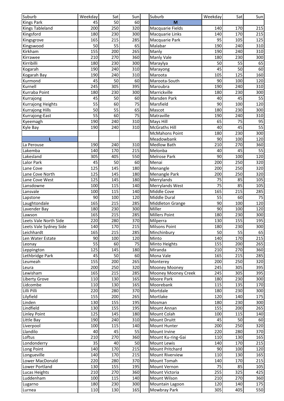| Suburb                 | Weekday         | Sat              | Sun              | Suburb                | Weekday         | Sat              | Sun |
|------------------------|-----------------|------------------|------------------|-----------------------|-----------------|------------------|-----|
| <b>Kings Park</b>      | 45              | 50               | 60               | M                     |                 |                  |     |
| <b>Kings Tableland</b> | 200             | 250              | 320              | Macquarie Fields      | 140             | 170              | 215 |
| Kingsford              | 180             | 230              | 300              | Macquarie Links       | 140             | 170              | 215 |
| Kingsgrove             | 165             | 215              | 285              | Macquarie Park        | 95              | 105              | 125 |
| Kingswood              | 50              | 55               | 65               | Malabar               | 190             | 240              | 310 |
| Kirkham                | 155             | 200              | 265              | Manly                 | 190             | 240              | 310 |
| Kirrawee               | 210             | 270              | 360              | <b>Manly Vale</b>     | 180             | 230              | 300 |
| Kirribilli             | 180             | 230              | 300              | Maraylya              | 50              | $\overline{55}$  | 65  |
| Kogarah                | 190             | 240              | 310              | Marayong              | 45              | 50               | 60  |
| Kogarah Bay            | 190             | 240              | 310              | Maroota               | 105             | $\overline{125}$ | 160 |
| Kurmond                | 45              | 50               | 60               | Maroota-South         | 90              | 100              | 120 |
| Kurnell                | 245             | 305              | 395              | Maroubra              | 190             | 240              | 310 |
| Kurraba Point          | 180             | 230              | 300              | Marrickville          | 180             | 230              | 300 |
| Kurrajong              | 45              | 50               | 60               | Marsden Park          | 40              | 45               | 55  |
| Kurrajong Heights      | 55              | 60               | 75               | Marsfield             | 90              | 100              | 120 |
| <b>Kurrajong Hills</b> | 50              | 55               | 65               | Mascot                | 180             | 230              | 300 |
| Kurrajong-East         | 55              | 60               | 75               | Matraville            | 190             | 240              | 310 |
| Kyeemagh               | 190             | 240              | 310              | Mays Hill             | 65              | 75               | 95  |
|                        | 190             | 240              | 310              | <b>McGraths Hill</b>  | 40              | 45               | 55  |
| Kyle Bay               |                 |                  |                  |                       | 180             | 230              |     |
|                        |                 |                  |                  | <b>McMahons Point</b> |                 |                  | 300 |
| L                      |                 |                  |                  | Meadowbank            | 90              | 100              | 120 |
| La Perouse             | 190             | 240              | 310              | <b>Medlow Bath</b>    | 210             | 270              | 360 |
| Lakemba                | 140             | 170              | 215              | Melonba               | 40              | 45               | 55  |
| Lakesland              | 305             | 405              | 550              | Melrose Park          | 90              | 100              | 120 |
| Lalor Park             | 45              | 50               | 60               | Menai                 | 200             | 250              | 320 |
| Lane Cove              | 125             | 145              | 180              | Menangle              | 200             | 250              | 320 |
| Lane Cove North        | 125             | 145              | 180              | Menangle Park         | 200             | 250              | 320 |
| Lane Cove West         | 125             | 145              | 180              | Merrylands            | 75              | 85               | 105 |
| Lansdowne              | 100             | 115              | 140              | Merrylands West       | 75              | 85               | 105 |
| Lansvale               | 100             | 115              | 140              | Middle Cove           | 165             | 215              | 285 |
| Lapstone               | 90              | 100              | 120              | Middle Dural          | 55              | 60               | 75  |
| Laughtondale           | 165             | 215              | 285              | Middleton Grange      | 90              | 100              | 120 |
| Lavender Bay           | 180             | 230              | 300              | Miller                | $\overline{90}$ | 100              | 120 |
| Lawson                 | 165             | $\overline{215}$ | 285              | <b>Millers Point</b>  | 180             | 230              | 300 |
| Leets Vale North Side  | 220             | 280              | 370              | Milperra              | 130             | 155              | 195 |
| Leets Vale Sydney Side | 140             | 170              | 215              | <b>Milsons Point</b>  | 180             | 230              | 300 |
| Leichhardt             | 165             | 215              | 285              | Minchinbury           | 50              | 55               | 65  |
| Len Water Estate       | 90              | 100              | 120              | Minto                 | 140             | 170              | 215 |
| Leonay                 | $\overline{55}$ | 60               | 75               | Minto Heights         | 155             | 200              | 265 |
| Leppington             | 125             | 145              | 180              | Miranda               | 210             | 270              | 360 |
| Lethbridge Park        | 45              | 50               | 60               | Mona Vale             | 165             | 215              | 285 |
| Leumeah                | 155             | 200              | 265              | Monterey              | 200             | 250              | 320 |
| Leura                  | 200             | 250              | 320              | Mooney Mooney         | 245             | 305              | 395 |
| Lewisham               | 165             | 215              | 285              | Mooney Mooney Creek   | 245             | 305              | 395 |
| Liberty Grove          | 110             | 130              | 165              | Moore Park            | 180             | 230              | 300 |
| Lidcombe               |                 |                  | 165              | Moorebank             |                 |                  |     |
| Lilli Pilli            | 110<br>220      | 130<br>280       |                  |                       | 115<br>180      | 135<br>230       | 170 |
|                        |                 |                  | 370              | Mortdale              |                 |                  | 300 |
| Lilyfield              | 155             | 200              | 265              | Mortlake              | 120             | 140              | 175 |
| Linden                 | 130             | 155              | 195              | Mosman                | 180             | 230              | 300 |
| Lindfield              | 130             | 155              | 195              | Mount Annan           | 155             | 200              | 265 |
| <b>Linley Point</b>    | 125             | 145              | 180              | Mount Colah           | 100             | 115              | 140 |
| Little Bay             | 190             | 240              | 310              | Mount Druitt          | 45              | 50               | 60  |
| Liverpool              | 100             | 115              | 140              | Mount Hunter          | 200             | 250              | 320 |
| Llandilo               | 40              | 45               | 55               | Mount Irvine          | 220             | 280              | 370 |
| Loftus                 | 210             | 270              | 360              | Mount Ku-ring-Gai     | 110             | 130              | 165 |
| Londonderry            | 35              | 40               | 50               | Mount Lewis           | 140             | 170              | 215 |
| Long Point             | 140             | 170              | $\overline{215}$ | Mount Pritchard       | 90              | 100              | 120 |
| Longueville            | 140             | 170              | 215              | Mount Riverview       | 110             | 130              | 165 |
| Lower MacDonald        | 220             | 280              | 370              | Mount Tomah           | 140             | 170              | 215 |
| Lower Portland         | 130             | 155              | 195              | Mount Vernon          | 75              | 85               | 105 |
| Lucas Heights          | 210             | 270              | 360              | Mount Victoria        | 255             | 325              | 425 |
| Luddenham              | 100             | 115              | 140              | Mount Wilson          | 210             | 270              | 360 |
| Lugarno                | 180             | 230              | 300              | Mountain Lagoon       | 120             | 140              | 175 |
| Lurnea                 | 110             | 130              | 165              | Mowbray Park          | 305             | 405              | 550 |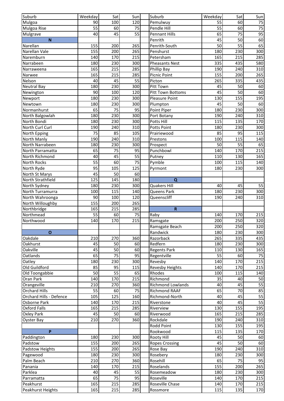| Suburb                         | Weekday         | Sat             | Sun             | Suburb                   | Weekday         | Sat             | Sun                    |
|--------------------------------|-----------------|-----------------|-----------------|--------------------------|-----------------|-----------------|------------------------|
| Mulgoa                         | 90              | 100             | 120             | Pemulwuy                 | 55              | 60              | 75                     |
| Mulgoa Rise                    | 55              | 60              | 75              | Pendle Hill              | 55              | 60              | $\overline{75}$        |
| Mulgrave                       | 40              | 45              | 55              | <b>Pennant Hills</b>     | 65              | 75              | 95                     |
| $\overline{\mathsf{N}}$        |                 |                 |                 | Penrith                  | 45              | 50              | 60                     |
| Narellan                       | 155             | 200             | 265             | Penrith-South            | 50              | $\overline{55}$ | 65                     |
| Narellan Vale                  | 155             | 200             | 265             | Penshurst                | 180             | 230             | 300                    |
| Naremburn                      | 140             | 170             | 215             | Petersham                | 165             | 215             | 285                    |
| Narrabeen                      | 180             | 230             | 300             | <b>Pheasants Nest</b>    | 335             | 435             | 580                    |
| Narraweena                     | 165             | 215             | 285             | Phillip Bay              | 190             | 240             | 310                    |
| Narwee                         | 165             | 215             | 285             | <b>Picnic Point</b>      | 155             | 200             | 265                    |
| Nelson                         | 40              | 45              | 55              | Picton                   | 265             | 335             | 435                    |
| <b>Neutral Bay</b>             | 180             | 230             | 300             | Pitt Town                | 45              | 50              | 60                     |
| Newington                      | 90              | 100             | 120             | <b>Pitt Town Bottoms</b> | $\overline{45}$ | $\overline{50}$ | 60                     |
| Newport                        | 180             | 230             | 300             | <b>Pleasure Point</b>    | 130             | 155             | 195                    |
|                                | 180             | 230             | 300             |                          | 45              | 50              | 60                     |
| Newtown<br>Normanhurst         | 65              | 75              | 95              | Plumpton                 | 180             | 230             | 300                    |
|                                |                 | 230             | 300             | Point Piper              |                 |                 |                        |
| North Balgowlah                | 180             |                 |                 | Port Botany              | 190             | 240             | 310                    |
| North Bondi                    | 180             | 230             | 300             | Potts Hill               | 115             | 135             | 170                    |
| North Curl Curl                | 190             | 240             | 310             | Potts Point              | 180             | 230             | 300                    |
| North Epping                   | 75              | 85              | 105             | Prairiewood              | 85              | 95              | 115                    |
| North Manly                    | 190             | 240             | 310             | Prestons                 | 100             | 115             | 140                    |
| North Narrabeen                | 180             | 230             | 300             | Prospect                 | 50              | 55              | 65                     |
| North Parramatta               | 65              | 75              | 95              | Punchbowl                | 140             | 170             | 215                    |
| North Richmond                 | 40              | 45              | $\overline{55}$ | Putney                   | 110             | 130             | 165                    |
| North Rocks                    | $\overline{55}$ | 60              | 75              | Pymble                   | 100             | 115             | 140                    |
| North Ryde                     | 95              | 105             | 125             | Pyrmont                  | 180             | 230             | 300                    |
| North St Marys                 | 45              | 50              | 60              |                          |                 |                 |                        |
| North Strathfield              | 125             | 145             | 180             | $\mathbf Q$              |                 |                 |                        |
| North Sydney                   | 180             | 230             | 300             | Quakers Hill             | 40              | 45              | 55                     |
| North Turramurra               | 100             | 115             | 140             | Queens Park              | 180             | 230             | 300                    |
| North Wahroonga                | 90              | 100             | 120             | Queenscliff              | 190             | 240             | 310                    |
| North Willoughby               | 155             | 200             | 265             |                          |                 |                 |                        |
| Northbridge                    | 165             | 215             | 285             | $\overline{\mathsf{R}}$  |                 |                 |                        |
| Northmead                      | 55              | 60              | 75              | Raby                     | 140             | 170             | 215                    |
| Northwood                      | 140             | 170             | 215             | Ramsgate                 | 200             | 250             | 320                    |
|                                |                 |                 |                 | Ramsgate Beach           | 200             | 250             | 320                    |
| $\overline{O}$                 |                 |                 |                 | Randwick                 | 180             | 230             | 300                    |
| Oakdale                        | 210             | 270             | 360             | Razorback                | 265             | 335             | 435                    |
| Oakhurst                       | 45              | 50              | 60              | Redfern                  | 180             | 230             | 300                    |
| Oakville                       | 45              | 50              | 60              | <b>Regents Park</b>      | 110             | 130             | 165                    |
| Oatlands                       | 65              | 75              | 95              | Regentville              | 55              | 60              | 75                     |
| Oatley                         | 180             | 230             | 300             | Revesby                  | 140             | 170             | 215                    |
| Old Guildford                  | 85              | 95              | 115             | Revesby Heights          | 140             | 170             | 215                    |
| Old Toongabbie                 | 50              | 55              | 65              | Rhodes                   | 100             | 115             | 140                    |
| Oran Park                      | 140             | 170             | 215             | Richmond                 | 35              | 40              | 50                     |
| Orangeville                    | 210             | 270             | 360             | <b>Richmond Lowlands</b> | 40              | 45              | 55                     |
| <b>Orchard Hills</b>           | 55              | 60              | 75              | Richmond RAAF            | 65              | 70              | $\overline{\text{85}}$ |
| <b>Orchard Hills - Defence</b> | 105             | 125             | 160             | Richmond-North           | 40              | 45              | $\overline{55}$        |
| Osborne Park                   | 140             | 170             | 215             | Riverstone               | 40              | 45              | 55                     |
| Oxford Falls                   | 165             | 215             | 285             | Riverview                | 130             | 155             | 195                    |
| <b>Oxley Park</b>              | 45              | 50              | 60              | Riverwood                | 165             | 215             | 285                    |
| Oyster Bay                     | 210             | 270             | 360             | Rockdale                 | 190             | 240             | 310                    |
|                                |                 |                 |                 | Rodd Point               | 130             | 155             | 195                    |
| <b>P</b>                       |                 |                 |                 | Rookwood                 | 115             | 135             | 170                    |
| Paddington                     | 180             | 230             | 300             | Rooty Hill               | 45              | 50              | 60                     |
| Padstow                        | 155             | 200             | 265             | <b>Ropes Crossing</b>    | 45              | 50              | 60                     |
| Padstow Heights                | 155             | 200             | 265             | Rose Bay                 | 190             | 240             | 310                    |
|                                | 180             | 230             | 300             | Rosebery                 | 180             | 230             | 300                    |
| Pagewood<br>Palm Beach         | 210             | 270             | 360             | Rosehill                 | 65              | 75              | 95                     |
|                                |                 |                 |                 |                          |                 |                 | 265                    |
| Panania                        | 140             | 170             | 215             | Roselands                | 155             | 200             |                        |
| Parklea                        | 40              | 45              | 55              | Rosemeadow               | 180             | 230             | 300                    |
| Parramatta                     | 65              | $\overline{75}$ | 95              | Roseville                | 140             | 170             | 215                    |
| Peakhurst                      | 165             | 215             | 285             | Roseville Chase          | 140             | 170             | 215                    |
| Peakhurst Heights              | 165             | 215             | 285             | Rossmore                 | 115             | 135             | 170                    |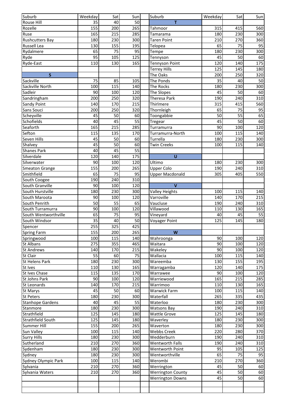| Suburb                  | Weekday | Sat              | Sun             | Suburb                   | Weekday | Sat             | Sun |
|-------------------------|---------|------------------|-----------------|--------------------------|---------|-----------------|-----|
| Rouse Hill              | 35      | 40               | 50              | т                        |         |                 |     |
| Rozelle                 | 155     | 200              | 265             | Tahmoor                  | 315     | 415             | 560 |
| Ruse                    | 165     | 215              | 285             | Tamarama                 | 180     | 230             | 300 |
| <b>Rushcutters Bay</b>  | 180     | 230              | 300             | <b>Taren Point</b>       | 210     | 270             | 360 |
| Russell Lea             | 130     | 155              | 195             | Telopea                  | 65      | 75              | 95  |
| Rydalmere               | 65      | 75               | 95              | Tempe                    | 180     | 230             | 300 |
| Ryde                    | 95      | 105              | 125             | Tennyson                 | 45      | 50              | 60  |
| Ryde-East               | 110     | 130              | 165             | <b>Tennyson Point</b>    | 120     | 140             | 175 |
|                         |         |                  |                 | <b>Terrey Hills</b>      | 125     | 145             | 180 |
| S                       |         |                  |                 | The Oaks                 | 200     | 250             | 320 |
| Sackville               | 75      | 85               | 105             | The Ponds                | 35      | 40              | 50  |
| Sackville North         | 100     | 115              | 140             | The Rocks                | 180     | 230             | 300 |
| Sadleir                 | 90      | 100              | 120             | The Slopes               | 45      | 50              | 60  |
| Sandringham             | 200     | 250              | 320             | Theresa Park             | 190     | 240             | 310 |
| Sandy Point             | 140     | 170              | 215             | Thirlmere                | 315     | 415             | 560 |
| Sans Souci              | 200     | 250              | 320             | Thornleigh               | 65      | $\overline{75}$ | 95  |
| Scheyville              | 45      | 50               | 60              | Toongabbie               | 50      | 55              | 65  |
| Schofields              | 40      | 45               | $\overline{55}$ |                          | 45      | 50              | 60  |
| Seaforth                | 165     | 215              | 285             | Tregear                  | 90      | 100             | 120 |
|                         |         |                  |                 | Turramurra               |         |                 |     |
| Sefton                  | 115     | 135              | 170             | Turramurra-North         | 100     | 115             | 140 |
| Seven Hills             | 45      | 50               | 60              | Turrella                 | 180     | 230             | 300 |
| Shalvey                 | 45      | 50               | 60              | <b>Twin Creeks</b>       | 100     | 115             | 140 |
| <b>Shanes Park</b>      | 40      | 45               | 55              |                          |         |                 |     |
| Silverdale              | 120     | 140              | 175             | U                        |         |                 |     |
| Silverwater             | 90      | 100              | 120             | Ultimo                   | 180     | 230             | 300 |
| Smeaton Grange          | 155     | 200              | 265             | <b>Upper Colo</b>        | 190     | 240             | 310 |
| Smithfield              | 65      | 75               | $\overline{95}$ | <b>Upper Macdonald</b>   | 305     | 405             | 550 |
| South Coogee            | 190     | 240              | 310             |                          |         |                 |     |
| South Granville         | 90      | 100              | 120             | $\mathbf{V}$             |         |                 |     |
| South Hurstville        | 180     | 230              | 300             | Valley Heights           | 100     | 115             | 140 |
| South Maroota           | 90      | 100              | 120             | Varroville               | 140     | 170             | 215 |
| South Penrith           | 50      | 55               | 65              | Vaucluse                 | 190     | 240             | 310 |
| South Turramurra        | 90      | 100              | 120             | Villawood                | 110     | 130             | 165 |
| South Wentworthville    | 65      | 75               | 95              | Vineyard                 | 40      | 45              | 55  |
| South Windsor           | 35      | 40               | 50              | Voyager Point            | 125     | 145             | 180 |
| Spencer                 | 255     | $\overline{325}$ | 425             |                          |         |                 |     |
| <b>Spring Farm</b>      | 155     | 200              | 265             | W                        |         |                 |     |
| Springwood              | 100     | 115              | 140             | Wahroonga                | 90      | 100             | 120 |
| <b>St Albans</b>        | 275     | 355              | 465             | Waitara                  | 90      | 100             | 120 |
| <b>St Andrews</b>       | 140     | 170              | 215             | Wakeley                  | 90      | 100             | 120 |
| St Clair                | 55      | 60               | 75              | Wallacia                 | 100     | 115             | 140 |
| <b>St Helens Park</b>   | 180     | 230              | 300             | Wareemba                 | 130     | 155             | 195 |
| St Ives                 | 110     | 130              | 165             | Warragamba               | 120     | 140             | 175 |
| St Ives Chase           | 115     | 135              | 170             | Warrawee                 | 90      | 100             | 120 |
| St Johns Park           | 90      | 100              | 120             | Warriewood               | 165     | 215             | 285 |
| St Leonards             | 140     | 170              | 215             | Warrimoo                 | 110     | 130             | 165 |
| St Marys                | 45      | 50               | 60              | <b>Warwick Farm</b>      | 100     | 115             | 140 |
| <b>St Peters</b>        | 180     | 230              | 300             | Waterfall                | 265     | 335             | 435 |
| <b>Stanhope Gardens</b> | 40      | 45               | 55              | Waterloo                 | 180     | 230             | 300 |
| Stanmore                | 180     | 230              | 300             | <b>Watsons Bay</b>       | 190     | 240             | 310 |
| Strathfield             | 125     | 145              | 180             | <b>Wattle Grove</b>      | 125     | 145             | 180 |
| Strathfield South       | 125     | 145              | 180             | Waverley                 | 180     | 230             | 300 |
| Summer Hill             | 155     | 200              | 265             | Waverton                 | 180     | 230             | 300 |
| Sun Valley              | 100     | 115              | 140             | <b>Webbs Creek</b>       | 220     | 280             | 370 |
| <b>Surry Hills</b>      | 180     | 230              | 300             | Wedderburn               | 190     | 240             | 310 |
| Sutherland              | 210     | 270              | 360             | <b>Wentworth Falls</b>   | 190     | 240             | 310 |
| Sydenham                | 180     | 230              | 300             | Wentworth Point          | 95      | 105             | 125 |
| Sydney                  | 180     | 230              | 300             | Wentworthville           | 65      | 75              | 95  |
| Sydney Olympic Park     | 100     | 115              | 140             | Werombi                  | 210     | 270             | 360 |
| Sylvania                | 210     | 270              | 360             | Werrington               | 45      | 50              | 60  |
| Sylvania Waters         | 210     | 270              | 360             | <b>Werrington County</b> | 45      | 50              | 60  |
|                         |         |                  |                 | <b>Werrington Downs</b>  | 45      | 50              | 60  |
|                         |         |                  |                 |                          |         |                 |     |
|                         |         |                  |                 |                          |         |                 |     |
|                         |         |                  |                 |                          |         |                 |     |